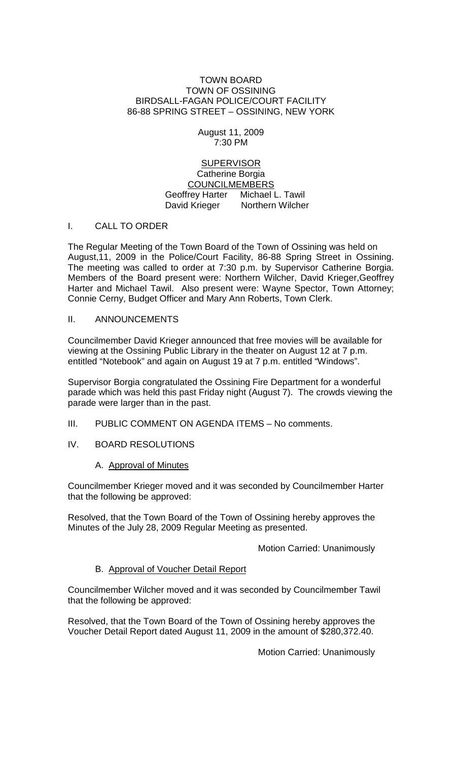#### TOWN BOARD TOWN OF OSSINING BIRDSALL-FAGAN POLICE/COURT FACILITY 86-88 SPRING STREET – OSSINING, NEW YORK

August 11, 2009 7:30 PM

SUPERVISOR Catherine Borgia COUNCILMEMBERS Geoffrey Harter Michael L. Tawil David Krieger Northern Wilcher

### I. CALL TO ORDER

The Regular Meeting of the Town Board of the Town of Ossining was held on August,11, 2009 in the Police/Court Facility, 86-88 Spring Street in Ossining. The meeting was called to order at 7:30 p.m. by Supervisor Catherine Borgia. Members of the Board present were: Northern Wilcher, David Krieger,Geoffrey Harter and Michael Tawil. Also present were: Wayne Spector, Town Attorney; Connie Cerny, Budget Officer and Mary Ann Roberts, Town Clerk.

### II. ANNOUNCEMENTS

Councilmember David Krieger announced that free movies will be available for viewing at the Ossining Public Library in the theater on August 12 at 7 p.m. entitled "Notebook" and again on August 19 at 7 p.m. entitled "Windows".

Supervisor Borgia congratulated the Ossining Fire Department for a wonderful parade which was held this past Friday night (August 7). The crowds viewing the parade were larger than in the past.

- III. PUBLIC COMMENT ON AGENDA ITEMS No comments.
- IV. BOARD RESOLUTIONS

# A. Approval of Minutes

Councilmember Krieger moved and it was seconded by Councilmember Harter that the following be approved:

Resolved, that the Town Board of the Town of Ossining hereby approves the Minutes of the July 28, 2009 Regular Meeting as presented.

Motion Carried: Unanimously

# B. Approval of Voucher Detail Report

Councilmember Wilcher moved and it was seconded by Councilmember Tawil that the following be approved:

Resolved, that the Town Board of the Town of Ossining hereby approves the Voucher Detail Report dated August 11, 2009 in the amount of \$280,372.40.

Motion Carried: Unanimously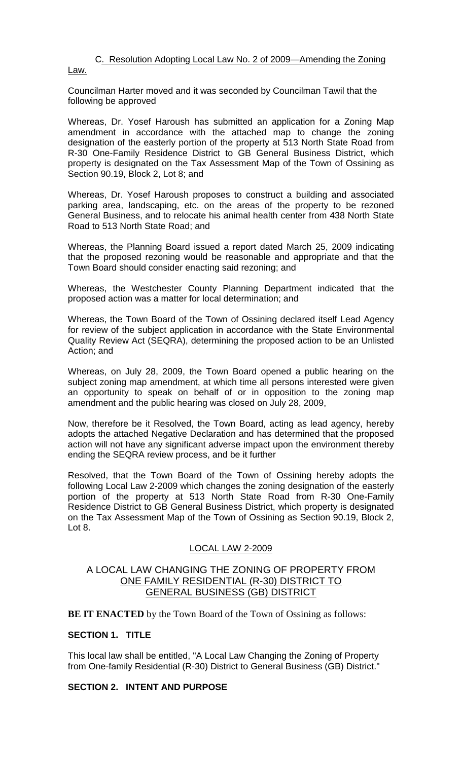# C. Resolution Adopting Local Law No. 2 of 2009—Amending the Zoning

Law.

Councilman Harter moved and it was seconded by Councilman Tawil that the following be approved

Whereas, Dr. Yosef Haroush has submitted an application for a Zoning Map amendment in accordance with the attached map to change the zoning designation of the easterly portion of the property at 513 North State Road from R-30 One-Family Residence District to GB General Business District, which property is designated on the Tax Assessment Map of the Town of Ossining as Section 90.19, Block 2, Lot 8; and

Whereas, Dr. Yosef Haroush proposes to construct a building and associated parking area, landscaping, etc. on the areas of the property to be rezoned General Business, and to relocate his animal health center from 438 North State Road to 513 North State Road; and

Whereas, the Planning Board issued a report dated March 25, 2009 indicating that the proposed rezoning would be reasonable and appropriate and that the Town Board should consider enacting said rezoning; and

Whereas, the Westchester County Planning Department indicated that the proposed action was a matter for local determination; and

Whereas, the Town Board of the Town of Ossining declared itself Lead Agency for review of the subject application in accordance with the State Environmental Quality Review Act (SEQRA), determining the proposed action to be an Unlisted Action; and

Whereas, on July 28, 2009, the Town Board opened a public hearing on the subject zoning map amendment, at which time all persons interested were given an opportunity to speak on behalf of or in opposition to the zoning map amendment and the public hearing was closed on July 28, 2009,

Now, therefore be it Resolved, the Town Board, acting as lead agency, hereby adopts the attached Negative Declaration and has determined that the proposed action will not have any significant adverse impact upon the environment thereby ending the SEQRA review process, and be it further

Resolved, that the Town Board of the Town of Ossining hereby adopts the following Local Law 2-2009 which changes the zoning designation of the easterly portion of the property at 513 North State Road from R-30 One-Family Residence District to GB General Business District, which property is designated on the Tax Assessment Map of the Town of Ossining as Section 90.19, Block 2, Lot 8.

# LOCAL LAW 2-2009

# A LOCAL LAW CHANGING THE ZONING OF PROPERTY FROM ONE FAMILY RESIDENTIAL (R-30) DISTRICT TO GENERAL BUSINESS (GB) DISTRICT

**BE IT ENACTED** by the Town Board of the Town of Ossining as follows:

# **SECTION 1. TITLE**

This local law shall be entitled, "A Local Law Changing the Zoning of Property from One-family Residential (R-30) District to General Business (GB) District."

# **SECTION 2. INTENT AND PURPOSE**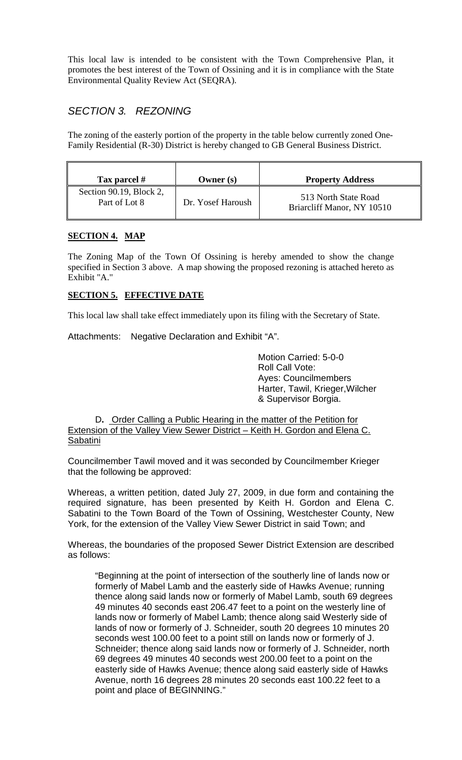This local law is intended to be consistent with the Town Comprehensive Plan, it promotes the best interest of the Town of Ossining and it is in compliance with the State Environmental Quality Review Act (SEQRA).

# *SECTION 3. REZONING*

The zoning of the easterly portion of the property in the table below currently zoned One-Family Residential (R-30) District is hereby changed to GB General Business District.

| Tax parcel #                             | Owner $(s)$       | <b>Property Address</b>                            |
|------------------------------------------|-------------------|----------------------------------------------------|
| Section 90.19, Block 2,<br>Part of Lot 8 | Dr. Yosef Haroush | 513 North State Road<br>Briarcliff Manor, NY 10510 |

# **SECTION 4. MAP**

The Zoning Map of the Town Of Ossining is hereby amended to show the change specified in Section 3 above. A map showing the proposed rezoning is attached hereto as Exhibit "A."

# **SECTION 5. EFFECTIVE DATE**

This local law shall take effect immediately upon its filing with the Secretary of State.

Attachments: Negative Declaration and Exhibit "A".

Motion Carried: 5-0-0 Roll Call Vote: Ayes: Councilmembers Harter, Tawil, Krieger,Wilcher & Supervisor Borgia.

D**.** Order Calling a Public Hearing in the matter of the Petition for Extension of the Valley View Sewer District – Keith H. Gordon and Elena C. Sabatini

Councilmember Tawil moved and it was seconded by Councilmember Krieger that the following be approved:

Whereas, a written petition, dated July 27, 2009, in due form and containing the required signature, has been presented by Keith H. Gordon and Elena C. Sabatini to the Town Board of the Town of Ossining, Westchester County, New York, for the extension of the Valley View Sewer District in said Town; and

Whereas, the boundaries of the proposed Sewer District Extension are described as follows:

"Beginning at the point of intersection of the southerly line of lands now or formerly of Mabel Lamb and the easterly side of Hawks Avenue; running thence along said lands now or formerly of Mabel Lamb, south 69 degrees 49 minutes 40 seconds east 206.47 feet to a point on the westerly line of lands now or formerly of Mabel Lamb; thence along said Westerly side of lands of now or formerly of J. Schneider, south 20 degrees 10 minutes 20 seconds west 100.00 feet to a point still on lands now or formerly of J. Schneider; thence along said lands now or formerly of J. Schneider, north 69 degrees 49 minutes 40 seconds west 200.00 feet to a point on the easterly side of Hawks Avenue; thence along said easterly side of Hawks Avenue, north 16 degrees 28 minutes 20 seconds east 100.22 feet to a point and place of BEGINNING."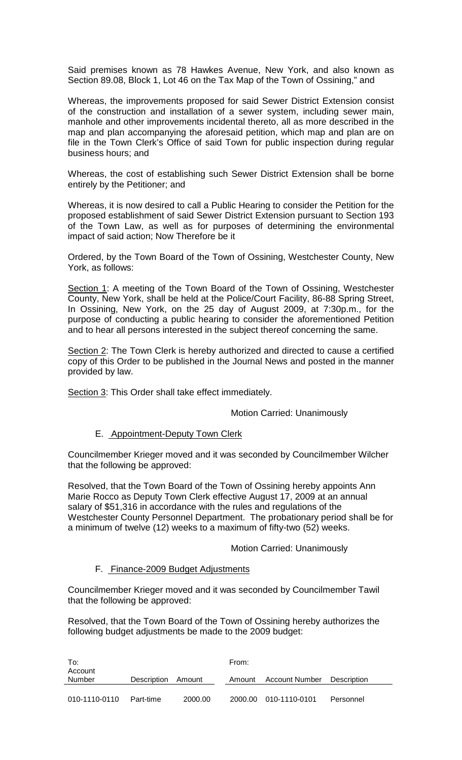Said premises known as 78 Hawkes Avenue, New York, and also known as Section 89.08, Block 1, Lot 46 on the Tax Map of the Town of Ossining," and

Whereas, the improvements proposed for said Sewer District Extension consist of the construction and installation of a sewer system, including sewer main, manhole and other improvements incidental thereto, all as more described in the map and plan accompanying the aforesaid petition, which map and plan are on file in the Town Clerk's Office of said Town for public inspection during regular business hours; and

Whereas, the cost of establishing such Sewer District Extension shall be borne entirely by the Petitioner; and

Whereas, it is now desired to call a Public Hearing to consider the Petition for the proposed establishment of said Sewer District Extension pursuant to Section 193 of the Town Law, as well as for purposes of determining the environmental impact of said action; Now Therefore be it

Ordered, by the Town Board of the Town of Ossining, Westchester County, New York, as follows:

Section 1: A meeting of the Town Board of the Town of Ossining, Westchester County, New York, shall be held at the Police/Court Facility, 86-88 Spring Street, In Ossining, New York, on the 25 day of August 2009, at 7:30p.m., for the purpose of conducting a public hearing to consider the aforementioned Petition and to hear all persons interested in the subject thereof concerning the same.

Section 2: The Town Clerk is hereby authorized and directed to cause a certified copy of this Order to be published in the Journal News and posted in the manner provided by law.

Section 3: This Order shall take effect immediately.

Motion Carried: Unanimously

# E. Appointment-Deputy Town Clerk

Councilmember Krieger moved and it was seconded by Councilmember Wilcher that the following be approved:

Resolved, that the Town Board of the Town of Ossining hereby appoints Ann Marie Rocco as Deputy Town Clerk effective August 17, 2009 at an annual salary of \$51,316 in accordance with the rules and regulations of the Westchester County Personnel Department. The probationary period shall be for a minimum of twelve (12) weeks to a maximum of fifty-two (52) weeks.

# Motion Carried: Unanimously

#### F. Finance-2009 Budget Adjustments

Councilmember Krieger moved and it was seconded by Councilmember Tawil that the following be approved:

Resolved, that the Town Board of the Town of Ossining hereby authorizes the following budget adjustments be made to the 2009 budget:

| To:<br>Account |                    |         | From:   |                |             |  |
|----------------|--------------------|---------|---------|----------------|-------------|--|
| Number         | <b>Description</b> | Amount  | Amount  | Account Number | Description |  |
| 010-1110-0110  | Part-time          | 2000.00 | 2000.00 | 010-1110-0101  | Personnel   |  |